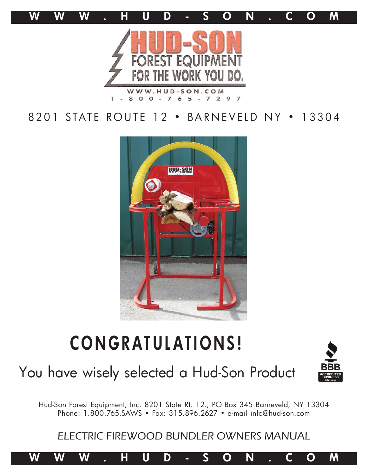



## 8201 STATE ROUTE 12 • BARNEVELD NY • 13304



# **CONGRATULATIONS!**

You have wisely selected a Hud-Son Product



Hud-Son Forest Equipment, Inc. 8201 State Rt. 12., PO Box 345 Barneveld, NY 13304 Phone: 1.800.765.SAWS • Fax: 315.896.2627 • e-mail info@hud-son.com

ELECTRIC FIREWOOD BUNDLER OWNERS MANUAL

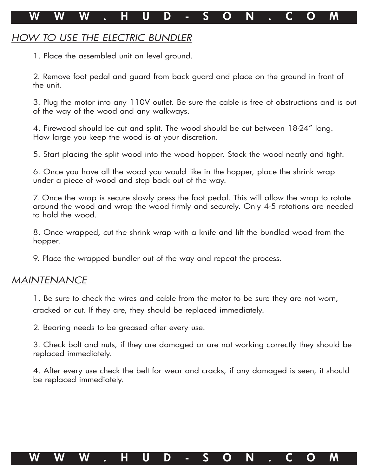#### *HOW TO USE THE ELECTRIC BUNDLER*

1. Place the assembled unit on level ground.

2. Remove foot pedal and guard from back guard and place on the ground in front of the unit.

3. Plug the motor into any 110V outlet. Be sure the cable is free of obstructions and is out of the way of the wood and any walkways.

4. Firewood should be cut and split. The wood should be cut between 18-24" long. How large you keep the wood is at your discretion.

5. Start placing the split wood into the wood hopper. Stack the wood neatly and tight.

6. Once you have all the wood you would like in the hopper, place the shrink wrap under a piece of wood and step back out of the way.

7. Once the wrap is secure slowly press the foot pedal. This will allow the wrap to rotate around the wood and wrap the wood firmly and securely. Only 4-5 rotations are needed to hold the wood.

8. Once wrapped, cut the shrink wrap with a knife and lift the bundled wood from the hopper.

9. Place the wrapped bundler out of the way and repeat the process.

#### *MAINTENANCE*

1. Be sure to check the wires and cable from the motor to be sure they are not worn, cracked or cut. If they are, they should be replaced immediately.

2. Bearing needs to be greased after every use.

3. Check bolt and nuts, if they are damaged or are not working correctly they should be replaced immediately.

4. After every use check the belt for wear and cracks, if any damaged is seen, it should be replaced immediately.

**WWW.HUD-SON.COM**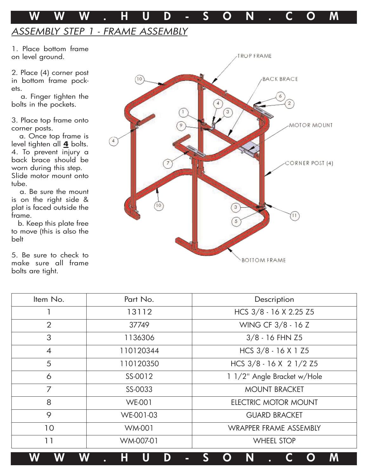### *ASSEMBLY STEP 1 - FRAME ASSEMBLY*

1. Place bottom frame on level ground.

2. Place (4) corner post in bottom frame pockets.

a. Finger tighten the bolts in the pockets.

3. Place top frame onto corner posts.

a. Once top frame is level tighten all **4** bolts. 4. To prevent injury a back brace should be worn during this step. Slide motor mount onto tube.

a. Be sure the mount is on the right side & plat is faced outside the frame.

b. Keep this plate free to move (this is also the belt

5. Be sure to check to make sure all frame bolts are tight.



| Item No.       | Part No.      | Description                   |  |
|----------------|---------------|-------------------------------|--|
|                | 13112         | HCS 3/8 - 16 X 2.25 Z5        |  |
| 2              | 37749         | WING CF 3/8 - 16 Z            |  |
| 3              | 1136306       | 3/8 - 16 FHN Z5               |  |
| $\overline{4}$ | 110120344     | HCS 3/8 - 16 X 1 Z5           |  |
| 5              | 110120350     | HCS 3/8 - 16 X 2 1/2 Z5       |  |
| 6              | SS-0012       | 1 1/2" Angle Bracket w/Hole   |  |
| $\overline{7}$ | SS-0033       | <b>MOUNT BRACKET</b>          |  |
| 8              | <b>WE-001</b> | <b>ELECTRIC MOTOR MOUNT</b>   |  |
| 9              | WE-001-03     | <b>GUARD BRACKET</b>          |  |
| 10             | <b>WM-001</b> | <b>WRAPPER FRAME ASSEMBLY</b> |  |
| 11             | WM-007-01     | <b>WHEEL STOP</b>             |  |
|                | н             | M<br>N                        |  |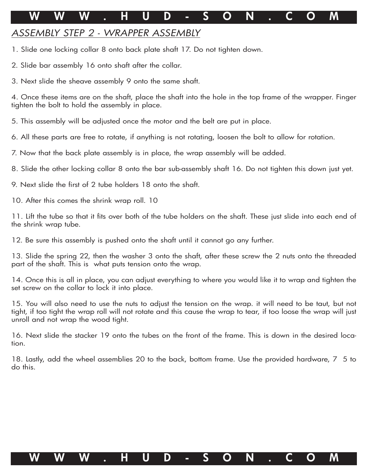#### *ASSEMBLY STEP 2 - WRAPPER ASSEMBLY*

1. Slide one locking collar 8 onto back plate shaft 17. Do not tighten down.

2. Slide bar assembly 16 onto shaft after the collar.

3. Next slide the sheave assembly 9 onto the same shaft.

4. Once these items are on the shaft, place the shaft into the hole in the top frame of the wrapper. Finger tighten the bolt to hold the assembly in place.

5. This assembly will be adjusted once the motor and the belt are put in place.

6. All these parts are free to rotate, if anything is not rotating, loosen the bolt to allow for rotation.

7. Now that the back plate assembly is in place, the wrap assembly will be added.

8. Slide the other locking collar 8 onto the bar sub-assembly shaft 16. Do not tighten this down just yet.

9. Next slide the first of 2 tube holders 18 onto the shaft.

10. After this comes the shrink wrap roll. 10

11. Lift the tube so that it fits over both of the tube holders on the shaft. These just slide into each end of the shrink wrap tube.

12. Be sure this assembly is pushed onto the shaft until it cannot go any further.

13. Slide the spring 22, then the washer 3 onto the shaft, after these screw the 2 nuts onto the threaded part of the shaft. This is what puts tension onto the wrap.

14. Once this is all in place, you can adjust everything to where you would like it to wrap and tighten the set screw on the collar to lock it into place.

15. You will also need to use the nuts to adjust the tension on the wrap. it will need to be taut, but not tight, if too tight the wrap roll will not rotate and this cause the wrap to tear, if too loose the wrap will just unroll and not wrap the wood tight.

16. Next slide the stacker 19 onto the tubes on the front of the frame. This is down in the desired location.

18. Lastly, add the wheel assemblies 20 to the back, bottom frame. Use the provided hardware, 7 5 to do this.

**WWW.HUD-SON.COM**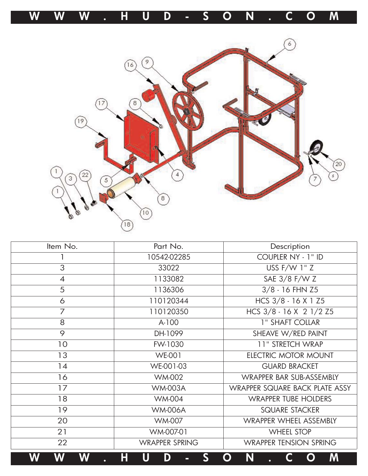



| Item No.       | Part No.<br>Description                  |                                |  |
|----------------|------------------------------------------|--------------------------------|--|
|                | 10542-02285<br><b>COUPLER NY - 1" ID</b> |                                |  |
| 3              | 33022                                    | USS F/W 1" Z                   |  |
| $\overline{4}$ | 1133082                                  | SAE 3/8 F/W Z                  |  |
| 5              | 1136306                                  | 3/8 - 16 FHN Z5                |  |
| 6              | 110120344                                | HCS 3/8 - 16 X 1 Z5            |  |
| $\overline{7}$ | 110120350                                | HCS 3/8 - 16 X 2 1/2 Z5        |  |
| 8              | A-100                                    | 1" SHAFT COLLAR                |  |
| 9              | DH-1099                                  | SHEAVE W/RED PAINT             |  |
| 10             | FW-1030                                  | 11" STRETCH WRAP               |  |
| 13             | <b>WE-001</b>                            | ELECTRIC MOTOR MOUNT           |  |
| 14             | WE-001-03                                | <b>GUARD BRACKET</b>           |  |
| 16             | <b>WM-002</b>                            | WRAPPER BAR SUB-ASSEMBLY       |  |
| 17             | <b>WM-003A</b>                           | WRAPPER SQUARE BACK PLATE ASSY |  |
| 18             | <b>WM-004</b>                            | <b>WRAPPER TUBE HOLDERS</b>    |  |
| 19             | <b>WM-006A</b>                           | SQUARE STACKER                 |  |
| 20             | <b>WM-007</b>                            | <b>WRAPPER WHEEL ASSEMBLY</b>  |  |
| 21             | WM-007-01                                | <b>WHEEL STOP</b>              |  |
| 22             | <b>WRAPPER SPRING</b>                    | <b>WRAPPER TENSION SPRING</b>  |  |
| W              | Н<br>D<br>U                              | M<br>N                         |  |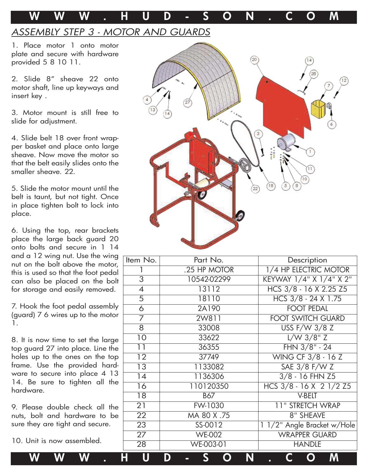#### *ASSEMBLY STEP 3 - MOTOR AND GUARDS*

1. Place motor 1 onto motor plate and secure with hardware provided 5 8 10 11.

2. Slide 8" sheave 22 onto motor shaft, line up keyways and insert key .

3. Motor mount is still free to slide for adjustment.

4. Slide belt 18 over front wrapper basket and place onto large sheave. Now move the motor so that the belt easily slides onto the smaller sheave. 22.

5. Slide the motor mount until the belt is taunt, but not tight. Once in place tighten bolt to lock into place.

6. Using the top, rear brackets place the large back guard 20 onto bolts and secure in 1 14 and a 12 wing nut. Use the wing nut on the bolt above the motor, this is used so that the foot pedal can also be placed on the bolt for storage and easily removed.

7. Hook the foot pedal assembly (guard) 7 6 wires up to the motor 1.

8. It is now time to set the large top guard 27 into place. Line the holes up to the ones on the top frame. Use the provided hardware to secure into place 4 13 14. Be sure to tighten all the hardware.

9. Please double check all the nuts, bolt and hardware to be sure they are tight and secure.

10. Unit is now assembled.



| $1 \perp Z$ wing nut. Use the wing<br>n the bolt above the motor, | Item No.       | Part No.       | Description                                  |
|-------------------------------------------------------------------|----------------|----------------|----------------------------------------------|
| used so that the foot pedal                                       |                | $.25$ HP MOTOR | 1/4 HP ELECTRIC MOTOR                        |
| also be placed on the bolt                                        | 3              | 10542-02299    | KEYWAY 1/4" X 1/4" X 2"                      |
| prage and easily removed.                                         | $\overline{4}$ | 13112          | HCS 3/8 - 16 X 2.25 Z5                       |
|                                                                   | 5              | 18110          | HCS 3/8 - 24 X 1.75                          |
| ok the foot pedal assembly                                        | 6              | 2A190          | <b>FOOT PEDAL</b>                            |
| d) 7 6 wires up to the motor                                      | $\overline{7}$ | 2W811          | <b>FOOT SWITCH GUARD</b>                     |
|                                                                   | 8              | 33008          | USS F/W 3/8 Z                                |
| s now time to set the large                                       | 10             | 33622          | $L/W$ 3/8" Z                                 |
| uard 27 into place. Line the                                      | 11             | 36355          | FHN 3/8" - 24                                |
| up to the ones on the top                                         | 12             | 37749          | WING CF 3/8 - 16 Z                           |
| . Use the provided hard-                                          | 13             | 1133082        | SAE 3/8 F/W Z                                |
| to secure into place 4 13                                         | 14             | 1136306        | $3/8 - 16$ FHN Z5                            |
| Be sure to tighten all the<br>vare.                               | 16             | 110120350      | $\overline{HCS 3}/8 \cdot 16 \times 21/2 Z5$ |
|                                                                   | 18             | B67            | V-BELT                                       |
| ease double check all the                                         | 21             | FW-1030        | 11" STRETCH WRAP                             |
| bolt and hardware to be                                           | 22             | MA 80 X.75     | 8" SHEAVE                                    |
| hey are tight and secure.                                         | 23             | SS-0012        | 1 1/2" Angle Bracket w/Hole                  |
|                                                                   | 27             | <b>WE-002</b>  | <b>WRAPPER GUARD</b>                         |
| Init is now assembled.                                            | 28             | WE-003-01      | <b>HANDLE</b>                                |
| W                                                                 | Н<br>U         | N<br>D         | M<br>Ő                                       |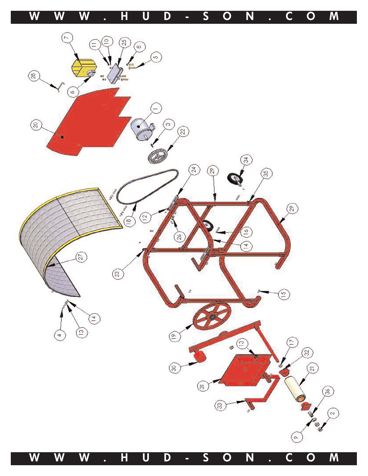